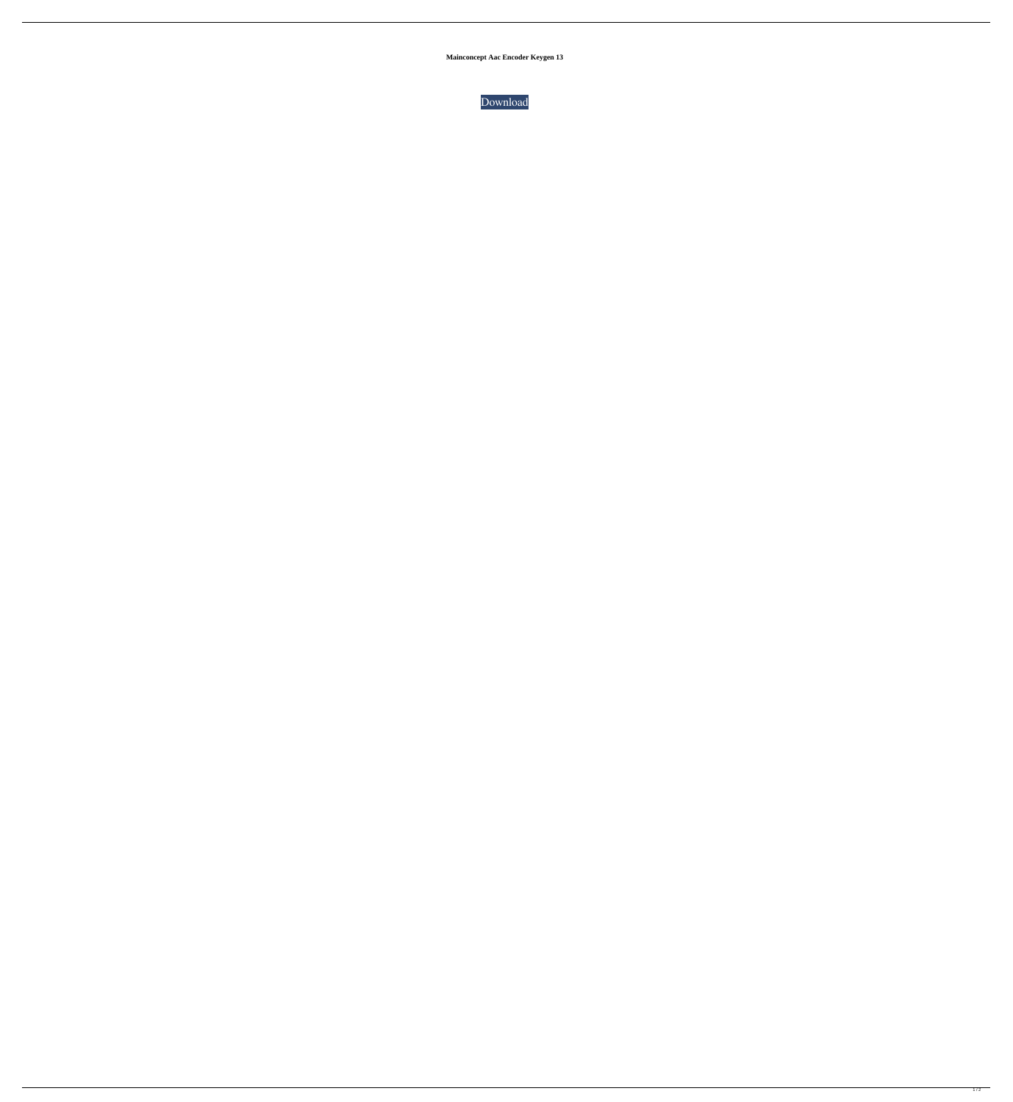**Mainconcept Aac Encoder Keygen 13**